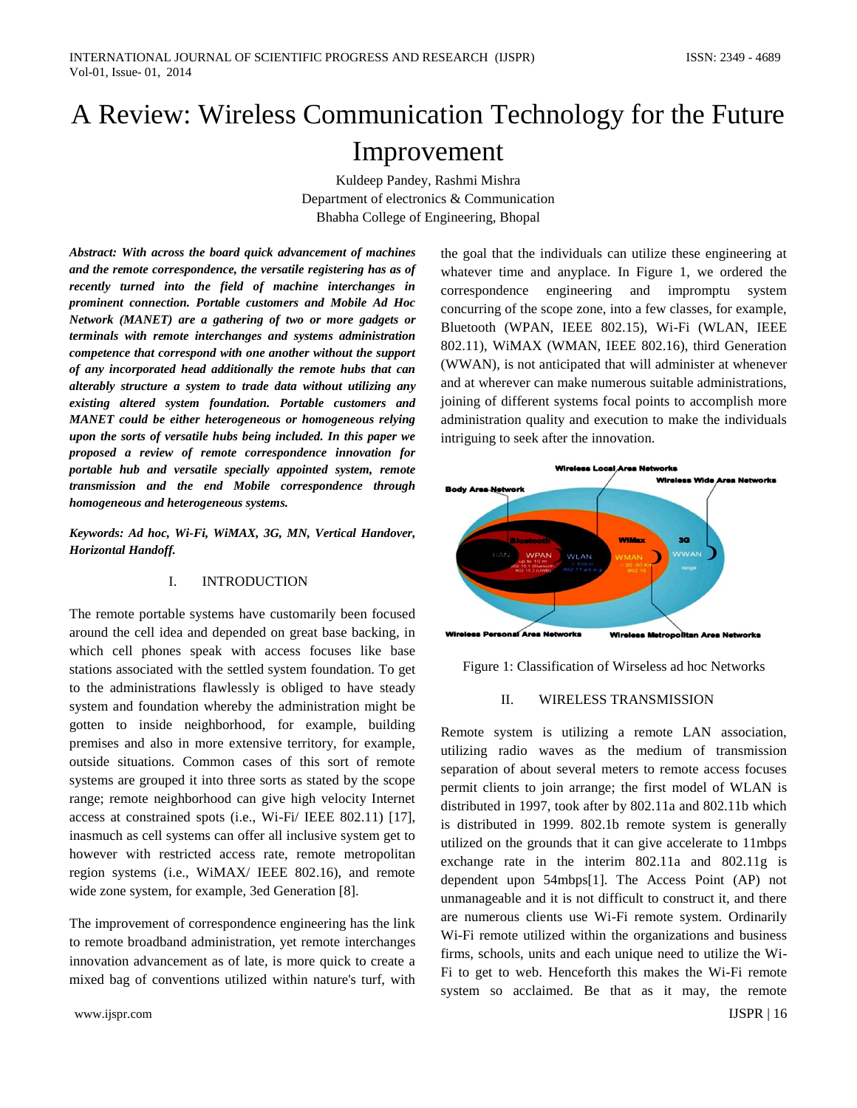# A Review: Wireless Communication Technology for the Future Improvement

Kuldeep Pandey, Rashmi Mishra Department of electronics & Communication Bhabha College of Engineering, Bhopal

*Abstract: With across the board quick advancement of machines and the remote correspondence, the versatile registering has as of recently turned into the field of machine interchanges in prominent connection. Portable customers and Mobile Ad Hoc Network (MANET) are a gathering of two or more gadgets or terminals with remote interchanges and systems administration competence that correspond with one another without the support of any incorporated head additionally the remote hubs that can alterably structure a system to trade data without utilizing any existing altered system foundation. Portable customers and MANET could be either heterogeneous or homogeneous relying upon the sorts of versatile hubs being included. In this paper we proposed a review of remote correspondence innovation for portable hub and versatile specially appointed system, remote transmission and the end Mobile correspondence through homogeneous and heterogeneous systems.* 

*Keywords: Ad hoc, Wi-Fi, WiMAX, 3G, MN, Vertical Handover, Horizontal Handoff.* 

## I. INTRODUCTION

The remote portable systems have customarily been focused around the cell idea and depended on great base backing, in which cell phones speak with access focuses like base stations associated with the settled system foundation. To get to the administrations flawlessly is obliged to have steady system and foundation whereby the administration might be gotten to inside neighborhood, for example, building premises and also in more extensive territory, for example, outside situations. Common cases of this sort of remote systems are grouped it into three sorts as stated by the scope range; remote neighborhood can give high velocity Internet access at constrained spots (i.e., Wi-Fi/ IEEE 802.11) [17], inasmuch as cell systems can offer all inclusive system get to however with restricted access rate, remote metropolitan region systems (i.e., WiMAX/ IEEE 802.16), and remote wide zone system, for example, 3ed Generation [8].

The improvement of correspondence engineering has the link to remote broadband administration, yet remote interchanges innovation advancement as of late, is more quick to create a mixed bag of conventions utilized within nature's turf, with

www.ijspr.com **IJSPR** | 16

the goal that the individuals can utilize these engineering at whatever time and anyplace. In Figure 1, we ordered the correspondence engineering and impromptu system concurring of the scope zone, into a few classes, for example, Bluetooth (WPAN, IEEE 802.15), Wi-Fi (WLAN, IEEE 802.11), WiMAX (WMAN, IEEE 802.16), third Generation (WWAN), is not anticipated that will administer at whenever and at wherever can make numerous suitable administrations, joining of different systems focal points to accomplish more administration quality and execution to make the individuals intriguing to seek after the innovation.



Figure 1: Classification of Wirseless ad hoc Networks

## II. WIRELESS TRANSMISSION

Remote system is utilizing a remote LAN association, utilizing radio waves as the medium of transmission separation of about several meters to remote access focuses permit clients to join arrange; the first model of WLAN is distributed in 1997, took after by 802.11a and 802.11b which is distributed in 1999. 802.1b remote system is generally utilized on the grounds that it can give accelerate to 11mbps exchange rate in the interim 802.11a and 802.11g is dependent upon 54mbps[1]. The Access Point (AP) not unmanageable and it is not difficult to construct it, and there are numerous clients use Wi-Fi remote system. Ordinarily Wi-Fi remote utilized within the organizations and business firms, schools, units and each unique need to utilize the Wi-Fi to get to web. Henceforth this makes the Wi-Fi remote system so acclaimed. Be that as it may, the remote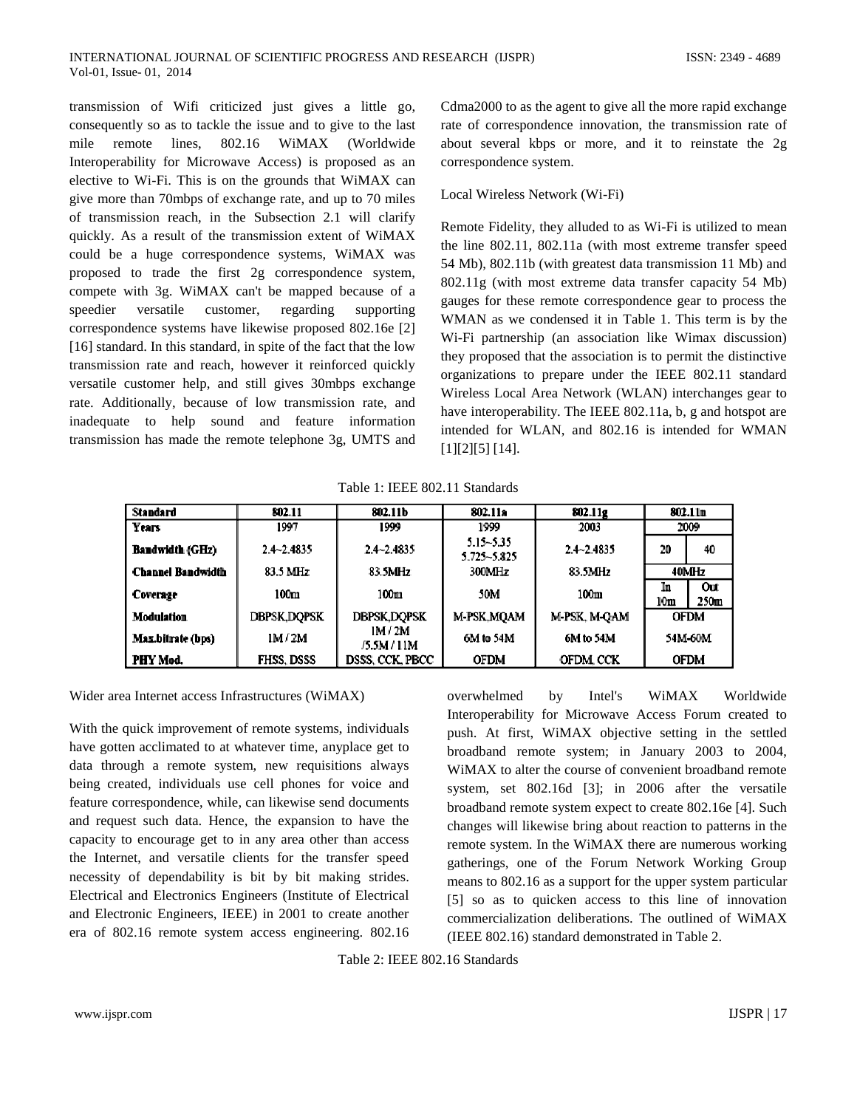transmission of Wifi criticized just gives a little go, consequently so as to tackle the issue and to give to the last mile remote lines, 802.16 WiMAX (Worldwide Interoperability for Microwave Access) is proposed as an elective to Wi-Fi. This is on the grounds that WiMAX can give more than 70mbps of exchange rate, and up to 70 miles of transmission reach, in the Subsection 2.1 will clarify quickly. As a result of the transmission extent of WiMAX could be a huge correspondence systems, WiMAX was proposed to trade the first 2g correspondence system, compete with 3g. WiMAX can't be mapped because of a speedier versatile customer, regarding supporting correspondence systems have likewise proposed 802.16e [2] [16] standard. In this standard, in spite of the fact that the low transmission rate and reach, however it reinforced quickly versatile customer help, and still gives 30mbps exchange rate. Additionally, because of low transmission rate, and inadequate to help sound and feature information transmission has made the remote telephone 3g, UMTS and

Cdma2000 to as the agent to give all the more rapid exchange rate of correspondence innovation, the transmission rate of about several kbps or more, and it to reinstate the 2g correspondence system.

## Local Wireless Network (Wi-Fi)

Remote Fidelity, they alluded to as Wi-Fi is utilized to mean the line 802.11, 802.11a (with most extreme transfer speed 54 Mb), 802.11b (with greatest data transmission 11 Mb) and 802.11g (with most extreme data transfer capacity 54 Mb) gauges for these remote correspondence gear to process the WMAN as we condensed it in Table 1. This term is by the Wi-Fi partnership (an association like Wimax discussion) they proposed that the association is to permit the distinctive organizations to prepare under the IEEE 802.11 standard Wireless Local Area Network (WLAN) interchanges gear to have interoperability. The IEEE 802.11a, b, g and hotspot are intended for WLAN, and 802.16 is intended for WMAN [1][2][5] [14].

Table 1: IEEE 802.11 Standards

| Standard                 | 802.11             | 802.11b                | 802.11a                  | 802.11g        |                       | 802.11n                 |
|--------------------------|--------------------|------------------------|--------------------------|----------------|-----------------------|-------------------------|
| Years                    | 1997               | 1999                   | 1999                     | 2003           | 2009                  |                         |
| <b>Bandwidth (GHz)</b>   | $2.4 - 2.4835$     | $2.4 - 2.4835$         | 5.15~5.35<br>5.725~5.825 | $2.4 - 2.4835$ | 20                    | 40                      |
| <b>Channel Bandwidth</b> | 83.5 MHz           | 83.5MHz                | 300MHz                   | 83.5MHz        | 40MHz                 |                         |
| Coverage                 | 100 <sub>m</sub>   | 100 <sub>m</sub>       | 50M                      | 100m           | In<br>10 <sub>m</sub> | Out<br>250 <sub>m</sub> |
| Modulation               | <b>DBPSK,DQPSK</b> | <b>DBPSK,DQPSK</b>     | M-PSK,MQAM               | M-PSK, M-QAM   |                       | <b>OFDM</b>             |
| Max.bitrate (bps)        | 1M/2M              | IM / 2M<br>/5.5M / 11M | 6M to 54M                | 6M to 54M      |                       | 54M-60M                 |
| PHY Mod.                 | <b>FHSS, DSSS</b>  | DSSS, CCK, PBCC        | <b>OFDM</b>              | OFDM. CCK      |                       | OFDM                    |

Wider area Internet access Infrastructures (WiMAX)

With the quick improvement of remote systems, individuals have gotten acclimated to at whatever time, anyplace get to data through a remote system, new requisitions always being created, individuals use cell phones for voice and feature correspondence, while, can likewise send documents and request such data. Hence, the expansion to have the capacity to encourage get to in any area other than access the Internet, and versatile clients for the transfer speed necessity of dependability is bit by bit making strides. Electrical and Electronics Engineers (Institute of Electrical and Electronic Engineers, IEEE) in 2001 to create another era of 802.16 remote system access engineering. 802.16

overwhelmed by Intel's WiMAX Worldwide Interoperability for Microwave Access Forum created to push. At first, WiMAX objective setting in the settled broadband remote system; in January 2003 to 2004, WiMAX to alter the course of convenient broadband remote system, set 802.16d [3]; in 2006 after the versatile broadband remote system expect to create 802.16e [4]. Such changes will likewise bring about reaction to patterns in the remote system. In the WiMAX there are numerous working gatherings, one of the Forum Network Working Group means to 802.16 as a support for the upper system particular [5] so as to quicken access to this line of innovation commercialization deliberations. The outlined of WiMAX (IEEE 802.16) standard demonstrated in Table 2.

Table 2: IEEE 802.16 Standards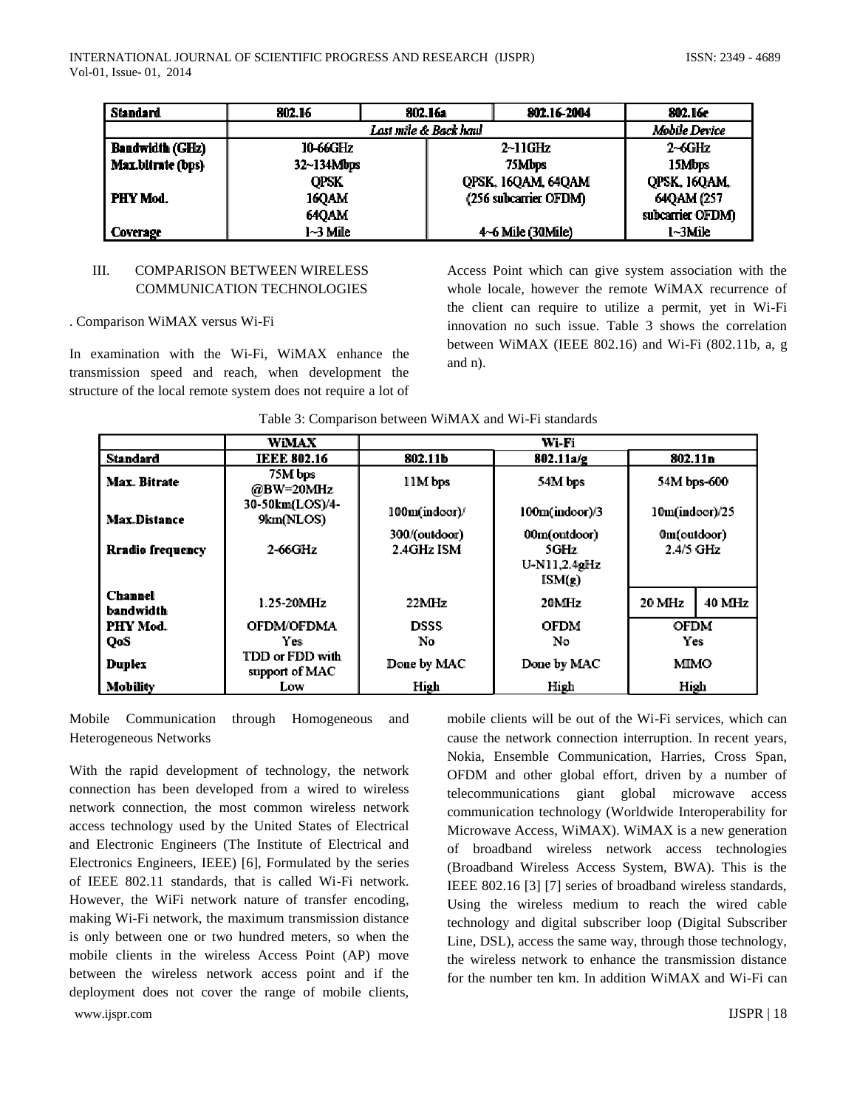| Standard               | 802.16                | 802.16a | 802.16-2004           | 802.16e          |  |
|------------------------|-----------------------|---------|-----------------------|------------------|--|
|                        | Last mile & Back haul |         |                       | Mobile Device    |  |
| <b>Bandwidth (GHz)</b> | 10-66GHz              |         | $2$ ~11GHz            | $2-6GHz$         |  |
| Max.bitrate (bps)      | 32~134Mbps            | 75Mbps  |                       | 15Mbps           |  |
|                        | <b>OPSK</b>           |         | QPSK, 16QAM, 64QAM    | QPSK, 16QAM,     |  |
| PHY Mod.               | <b>160AM</b>          |         | (256 subcarrier OFDM) | 64QAM (257       |  |
|                        | <b>64QAM</b>          |         |                       | subcarrier OFDM) |  |
| Coverage               | 1~3 Mile              |         | 4~6 Mile (30Mile)     | 1~3Mile          |  |

## III. COMPARISON BETWEEN WIRELESS COMMUNICATION TECHNOLOGIES

## . Comparison WiMAX versus Wi-Fi

In examination with the Wi-Fi, WiMAX enhance the transmission speed and reach, when development the structure of the local remote system does not require a lot of

Access Point which can give system association with the whole locale, however the remote WiMAX recurrence of the client can require to utilize a permit, yet in Wi-Fi innovation no such issue. Table 3 shows the correlation between WiMAX (IEEE 802.16) and Wi-Fi (802.11b, a, g and n).

| Table 3: Comparison between WiMAX and Wi-Fi standards |  |  |
|-------------------------------------------------------|--|--|
|-------------------------------------------------------|--|--|

|                      | WiMAX                             | Wi-Fi         |                |                   |        |
|----------------------|-----------------------------------|---------------|----------------|-------------------|--------|
| Standard             | <b>IEEE 802.16</b>                | 802.11b       | 802.11a/g      | 802.11n           |        |
| Max. Bitrate         | 75M bps<br>@BW=20MHz              | 11M bps       | 54M bps        | 54M bps-600       |        |
| <b>Max.Distance</b>  | 30-50km(LOS)/4-<br>9km(NLOS)      | 100m(indoor)/ | 100m(indoor)/3 | $10m$ (indoor)/25 |        |
|                      |                                   | 300/(outdoor) | 00m(outdoor)   | 0m(outdoor)       |        |
| Rradio frequency     | 2-66GHz                           | 2.4GHz ISM    | 5GHz           | 2.4/5 GHz         |        |
|                      |                                   |               | U-N11,2.4gHz   |                   |        |
|                      |                                   |               | ISM(z)         |                   |        |
| Channel<br>bandwidth | 1.25-20MHz                        | 22MHz         | 20MHz          | 20 MHz            | 40 MHz |
| PHY Mod.             | <b>OFDM/OFDMA</b>                 | DSSS          | OFDM           | <b>OFDM</b>       |        |
| QoS                  | Yes.                              | No            | No             | Yes               |        |
| Duplex               | TDD or FDD with<br>support of MAC | Done by MAC   | Done by MAC    | MIMO              |        |
| Mobility             | Low                               | High          | High           | High              |        |

Mobile Communication through Homogeneous and Heterogeneous Networks

www.ijspr.com **IJSPR** | 18 With the rapid development of technology, the network connection has been developed from a wired to wireless network connection, the most common wireless network access technology used by the United States of Electrical and Electronic Engineers (The Institute of Electrical and Electronics Engineers, IEEE) [6], Formulated by the series of IEEE 802.11 standards, that is called Wi-Fi network. However, the WiFi network nature of transfer encoding, making Wi-Fi network, the maximum transmission distance is only between one or two hundred meters, so when the mobile clients in the wireless Access Point (AP) move between the wireless network access point and if the deployment does not cover the range of mobile clients,

mobile clients will be out of the Wi-Fi services, which can cause the network connection interruption. In recent years, Nokia, Ensemble Communication, Harries, Cross Span, OFDM and other global effort, driven by a number of telecommunications giant global microwave access communication technology (Worldwide Interoperability for Microwave Access, WiMAX). WiMAX is a new generation of broadband wireless network access technologies (Broadband Wireless Access System, BWA). This is the IEEE 802.16 [3] [7] series of broadband wireless standards, Using the wireless medium to reach the wired cable technology and digital subscriber loop (Digital Subscriber Line, DSL), access the same way, through those technology, the wireless network to enhance the transmission distance for the number ten km. In addition WiMAX and Wi-Fi can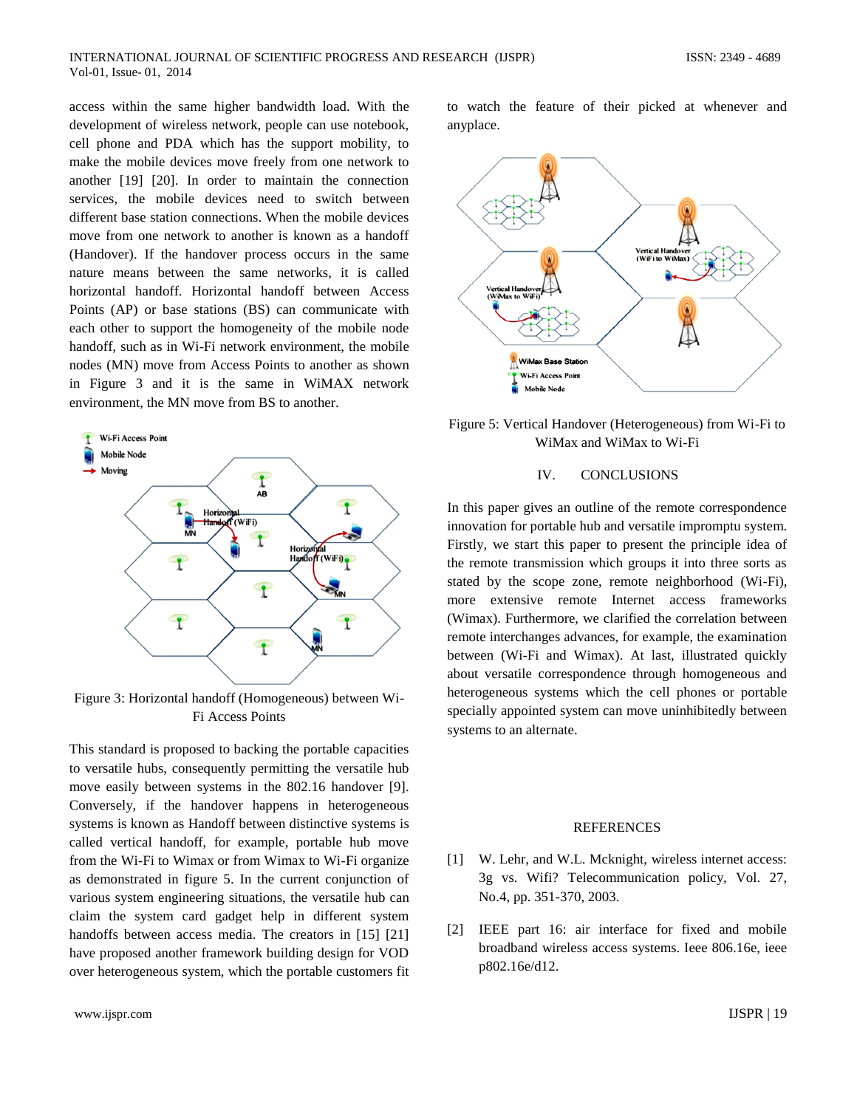access within the same higher bandwidth load. With the development of wireless network, people can use notebook, cell phone and PDA which has the support mobility, to make the mobile devices move freely from one network to another [19] [20]. In order to maintain the connection services, the mobile devices need to switch between different base station connections. When the mobile devices move from one network to another is known as a handoff (Handover). If the handover process occurs in the same nature means between the same networks, it is called horizontal handoff. Horizontal handoff between Access Points (AP) or base stations (BS) can communicate with each other to support the homogeneity of the mobile node handoff, such as in Wi-Fi network environment, the mobile nodes (MN) move from Access Points to another as shown in Figure 3 and it is the same in WiMAX network environment, the MN move from BS to another.



Figure 3: Horizontal handoff (Homogeneous) between Wi-Fi Access Points

This standard is proposed to backing the portable capacities to versatile hubs, consequently permitting the versatile hub move easily between systems in the 802.16 handover [9]. Conversely, if the handover happens in heterogeneous systems is known as Handoff between distinctive systems is called vertical handoff, for example, portable hub move from the Wi-Fi to Wimax or from Wimax to Wi-Fi organize as demonstrated in figure 5. In the current conjunction of various system engineering situations, the versatile hub can claim the system card gadget help in different system handoffs between access media. The creators in [15] [21] have proposed another framework building design for VOD over heterogeneous system, which the portable customers fit

to watch the feature of their picked at whenever and anyplace.



Figure 5: Vertical Handover (Heterogeneous) from Wi-Fi to WiMax and WiMax to Wi-Fi

#### IV. CONCLUSIONS

In this paper gives an outline of the remote correspondence innovation for portable hub and versatile impromptu system. Firstly, we start this paper to present the principle idea of the remote transmission which groups it into three sorts as stated by the scope zone, remote neighborhood (Wi-Fi), more extensive remote Internet access frameworks (Wimax). Furthermore, we clarified the correlation between remote interchanges advances, for example, the examination between (Wi-Fi and Wimax). At last, illustrated quickly about versatile correspondence through homogeneous and heterogeneous systems which the cell phones or portable specially appointed system can move uninhibitedly between systems to an alternate.

## REFERENCES

- [1] W. Lehr, and W.L. Mcknight, wireless internet access: 3g vs. Wifi? Telecommunication policy, Vol. 27, No.4, pp. 351-370, 2003.
- [2] IEEE part 16: air interface for fixed and mobile broadband wireless access systems. Ieee 806.16e, ieee p802.16e/d12.